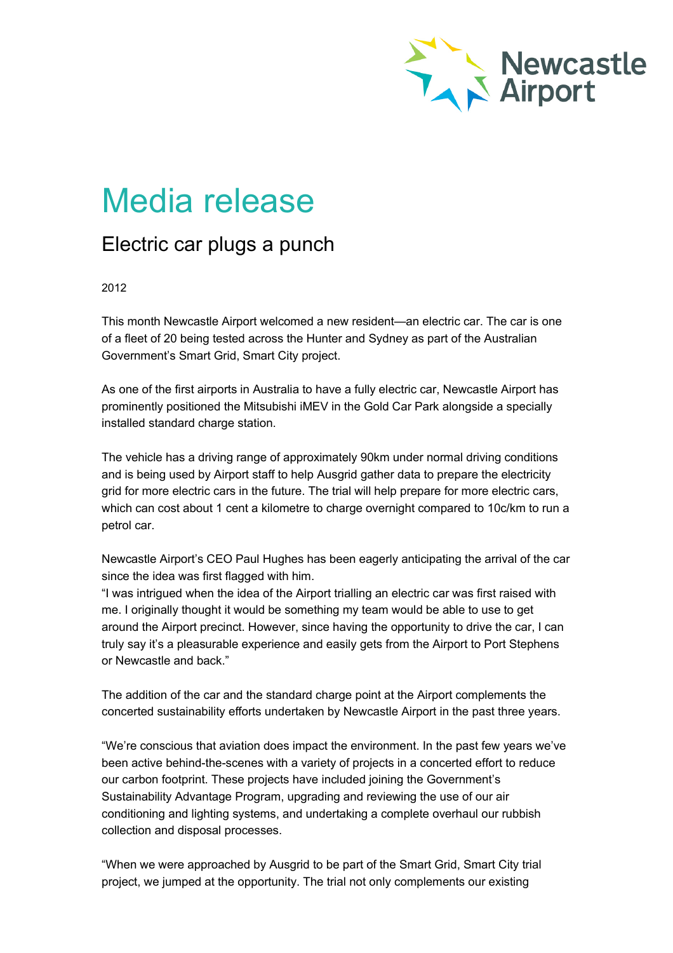

## Media release

## Electric car plugs a punch

## 2012

This month Newcastle Airport welcomed a new resident—an electric car. The car is one of a fleet of 20 being tested across the Hunter and Sydney as part of the Australian Government's Smart Grid, Smart City project.

As one of the first airports in Australia to have a fully electric car, Newcastle Airport has prominently positioned the Mitsubishi iMEV in the Gold Car Park alongside a specially installed standard charge station.

The vehicle has a driving range of approximately 90km under normal driving conditions and is being used by Airport staff to help Ausgrid gather data to prepare the electricity grid for more electric cars in the future. The trial will help prepare for more electric cars, which can cost about 1 cent a kilometre to charge overnight compared to 10c/km to run a petrol car.

Newcastle Airport's CEO Paul Hughes has been eagerly anticipating the arrival of the car since the idea was first flagged with him.

"I was intrigued when the idea of the Airport trialling an electric car was first raised with me. I originally thought it would be something my team would be able to use to get around the Airport precinct. However, since having the opportunity to drive the car, I can truly say it's a pleasurable experience and easily gets from the Airport to Port Stephens or Newcastle and back."

The addition of the car and the standard charge point at the Airport complements the concerted sustainability efforts undertaken by Newcastle Airport in the past three years.

"We're conscious that aviation does impact the environment. In the past few years we've been active behind-the-scenes with a variety of projects in a concerted effort to reduce our carbon footprint. These projects have included joining the Government's Sustainability Advantage Program, upgrading and reviewing the use of our air conditioning and lighting systems, and undertaking a complete overhaul our rubbish collection and disposal processes.

"When we were approached by Ausgrid to be part of the Smart Grid, Smart City trial project, we jumped at the opportunity. The trial not only complements our existing